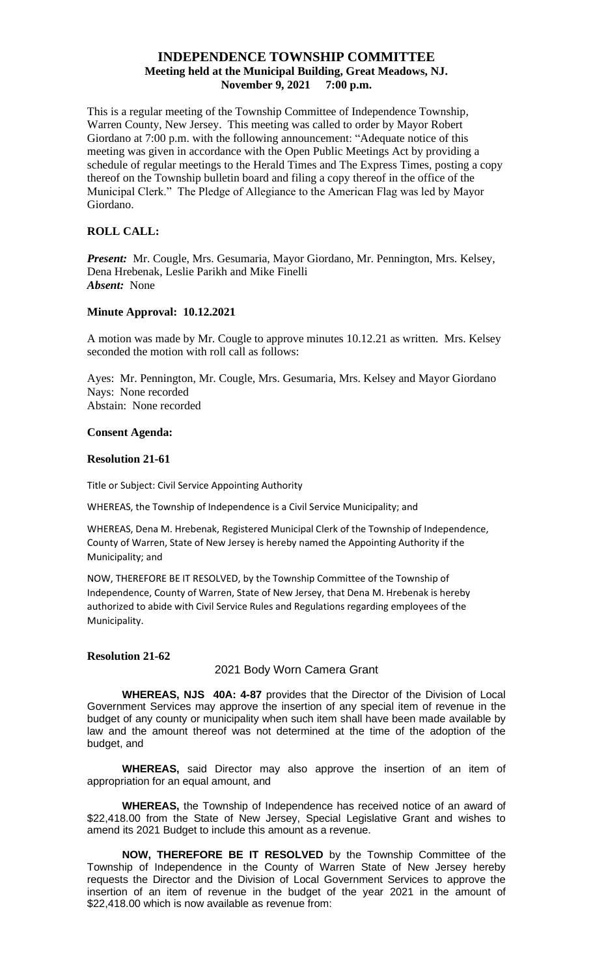# **INDEPENDENCE TOWNSHIP COMMITTEE Meeting held at the Municipal Building, Great Meadows, NJ. November 9, 2021 7:00 p.m.**

This is a regular meeting of the Township Committee of Independence Township, Warren County, New Jersey. This meeting was called to order by Mayor Robert Giordano at 7:00 p.m. with the following announcement: "Adequate notice of this meeting was given in accordance with the Open Public Meetings Act by providing a schedule of regular meetings to the Herald Times and The Express Times, posting a copy thereof on the Township bulletin board and filing a copy thereof in the office of the Municipal Clerk." The Pledge of Allegiance to the American Flag was led by Mayor Giordano.

### **ROLL CALL:**

*Present:* Mr. Cougle, Mrs. Gesumaria, Mayor Giordano, Mr. Pennington, Mrs. Kelsey, Dena Hrebenak, Leslie Parikh and Mike Finelli *Absent:* None

## **Minute Approval: 10.12.2021**

A motion was made by Mr. Cougle to approve minutes 10.12.21 as written. Mrs. Kelsey seconded the motion with roll call as follows:

Ayes: Mr. Pennington, Mr. Cougle, Mrs. Gesumaria, Mrs. Kelsey and Mayor Giordano Nays: None recorded Abstain: None recorded

### **Consent Agenda:**

### **Resolution 21-61**

Title or Subject: Civil Service Appointing Authority

WHEREAS, the Township of Independence is a Civil Service Municipality; and

WHEREAS, Dena M. Hrebenak, Registered Municipal Clerk of the Township of Independence, County of Warren, State of New Jersey is hereby named the Appointing Authority if the Municipality; and

NOW, THEREFORE BE IT RESOLVED, by the Township Committee of the Township of Independence, County of Warren, State of New Jersey, that Dena M. Hrebenak is hereby authorized to abide with Civil Service Rules and Regulations regarding employees of the Municipality.

### **Resolution 21-62**

### 2021 Body Worn Camera Grant

**WHEREAS, NJS 40A: 4-87** provides that the Director of the Division of Local Government Services may approve the insertion of any special item of revenue in the budget of any county or municipality when such item shall have been made available by law and the amount thereof was not determined at the time of the adoption of the budget, and

**WHEREAS,** said Director may also approve the insertion of an item of appropriation for an equal amount, and

**WHEREAS,** the Township of Independence has received notice of an award of \$22,418.00 from the State of New Jersey, Special Legislative Grant and wishes to amend its 2021 Budget to include this amount as a revenue.

**NOW, THEREFORE BE IT RESOLVED** by the Township Committee of the Township of Independence in the County of Warren State of New Jersey hereby requests the Director and the Division of Local Government Services to approve the insertion of an item of revenue in the budget of the year 2021 in the amount of \$22,418.00 which is now available as revenue from: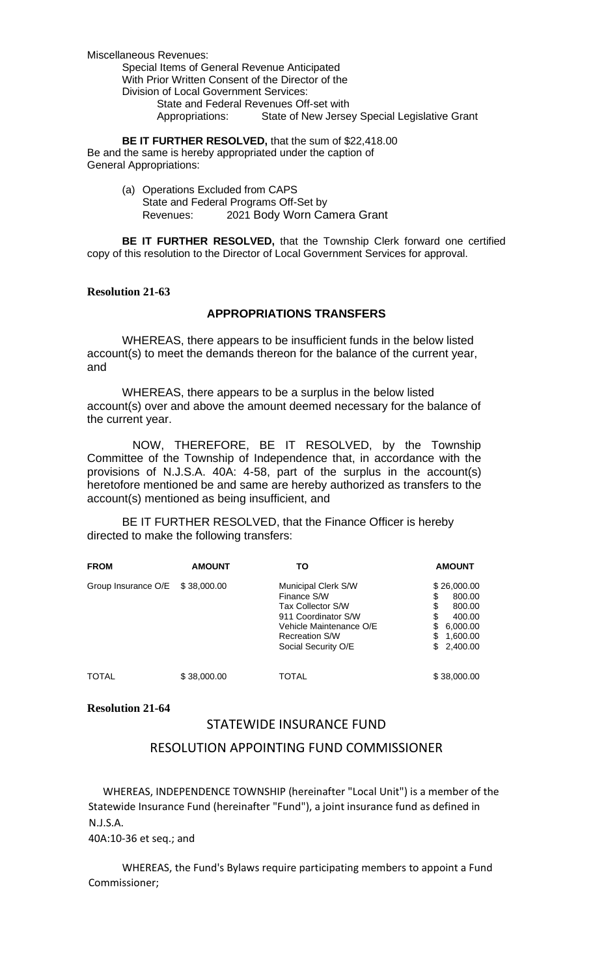Miscellaneous Revenues: Special Items of General Revenue Anticipated With Prior Written Consent of the Director of the Division of Local Government Services: State and Federal Revenues Off-set with Appropriations: State of New Jersey Special Legislative Grant

**BE IT FURTHER RESOLVED,** that the sum of \$22,418.00 Be and the same is hereby appropriated under the caption of General Appropriations:

> (a) Operations Excluded from CAPS State and Federal Programs Off-Set by Revenues: 2021 Body Worn Camera Grant

**BE IT FURTHER RESOLVED,** that the Township Clerk forward one certified copy of this resolution to the Director of Local Government Services for approval.

## **Resolution 21-63**

## **APPROPRIATIONS TRANSFERS**

WHEREAS, there appears to be insufficient funds in the below listed account(s) to meet the demands thereon for the balance of the current year, and

WHEREAS, there appears to be a surplus in the below listed account(s) over and above the amount deemed necessary for the balance of the current year.

NOW, THEREFORE, BE IT RESOLVED, by the Township Committee of the Township of Independence that, in accordance with the provisions of N.J.S.A. 40A: 4-58, part of the surplus in the account(s) heretofore mentioned be and same are hereby authorized as transfers to the account(s) mentioned as being insufficient, and

BE IT FURTHER RESOLVED, that the Finance Officer is hereby directed to make the following transfers:

| <b>FROM</b>         | <b>AMOUNT</b> | ΤО                                                                                                                                                        | <b>AMOUNT</b>                                                                                                      |
|---------------------|---------------|-----------------------------------------------------------------------------------------------------------------------------------------------------------|--------------------------------------------------------------------------------------------------------------------|
| Group Insurance O/E | \$38,000.00   | Municipal Clerk S/W<br>Finance S/W<br>Tax Collector S/W<br>911 Coordinator S/W<br>Vehicle Maintenance O/E<br><b>Recreation S/W</b><br>Social Security O/E | \$26,000.00<br>\$<br>800.00<br>\$<br>800.00<br>\$<br>400.00<br>\$<br>6,000.00<br>\$<br>1,600.00<br>\$.<br>2,400.00 |
| <b>TOTAL</b>        | \$38,000.00   | TOTAL                                                                                                                                                     | \$38,000.00                                                                                                        |

## **Resolution 21-64**

# STATEWIDE INSURANCE FUND

# RESOLUTION APPOINTING FUND COMMISSIONER

 WHEREAS, INDEPENDENCE TOWNSHIP (hereinafter "Local Unit") is a member of the Statewide Insurance Fund (hereinafter "Fund"), a joint insurance fund as defined in N.J.S.A.

40A:10-36 et seq.; and

WHEREAS, the Fund's Bylaws require participating members to appoint a Fund Commissioner;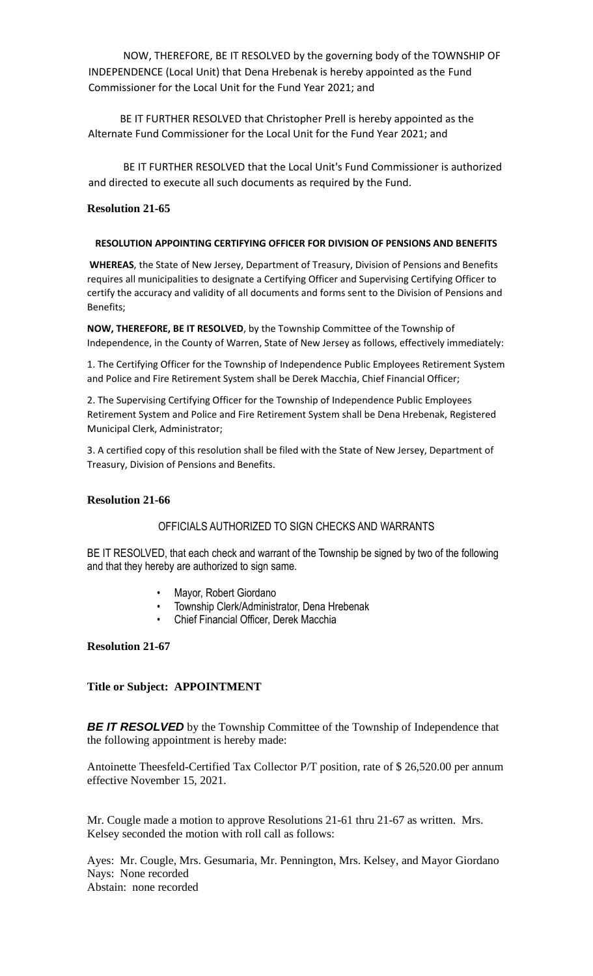NOW, THEREFORE, BE IT RESOLVED by the governing body of the TOWNSHIP OF INDEPENDENCE (Local Unit) that Dena Hrebenak is hereby appointed as the Fund Commissioner for the Local Unit for the Fund Year 2021; and

 BE IT FURTHER RESOLVED that Christopher Prell is hereby appointed as the Alternate Fund Commissioner for the Local Unit for the Fund Year 2021; and

BE IT FURTHER RESOLVED that the Local Unit's Fund Commissioner is authorized and directed to execute all such documents as required by the Fund.

## **Resolution 21-65**

### **RESOLUTION APPOINTING CERTIFYING OFFICER FOR DIVISION OF PENSIONS AND BENEFITS**

**WHEREAS**, the State of New Jersey, Department of Treasury, Division of Pensions and Benefits requires all municipalities to designate a Certifying Officer and Supervising Certifying Officer to certify the accuracy and validity of all documents and forms sent to the Division of Pensions and Benefits;

**NOW, THEREFORE, BE IT RESOLVED**, by the Township Committee of the Township of Independence, in the County of Warren, State of New Jersey as follows, effectively immediately:

1. The Certifying Officer for the Township of Independence Public Employees Retirement System and Police and Fire Retirement System shall be Derek Macchia, Chief Financial Officer;

2. The Supervising Certifying Officer for the Township of Independence Public Employees Retirement System and Police and Fire Retirement System shall be Dena Hrebenak, Registered Municipal Clerk, Administrator;

3. A certified copy of this resolution shall be filed with the State of New Jersey, Department of Treasury, Division of Pensions and Benefits.

### **Resolution 21-66**

# OFFICIALS AUTHORIZED TO SIGN CHECKS AND WARRANTS

BE IT RESOLVED, that each check and warrant of the Township be signed by two of the following and that they hereby are authorized to sign same.

- Mayor, Robert Giordano
- Township Clerk/Administrator, Dena Hrebenak
- Chief Financial Officer, Derek Macchia

### **Resolution 21-67**

## **Title or Subject: APPOINTMENT**

**BE IT RESOLVED** by the Township Committee of the Township of Independence that the following appointment is hereby made:

Antoinette Theesfeld-Certified Tax Collector P/T position, rate of \$ 26,520.00 per annum effective November 15, 2021.

Mr. Cougle made a motion to approve Resolutions 21-61 thru 21-67 as written. Mrs. Kelsey seconded the motion with roll call as follows:

Ayes: Mr. Cougle, Mrs. Gesumaria, Mr. Pennington, Mrs. Kelsey, and Mayor Giordano Nays: None recorded Abstain: none recorded